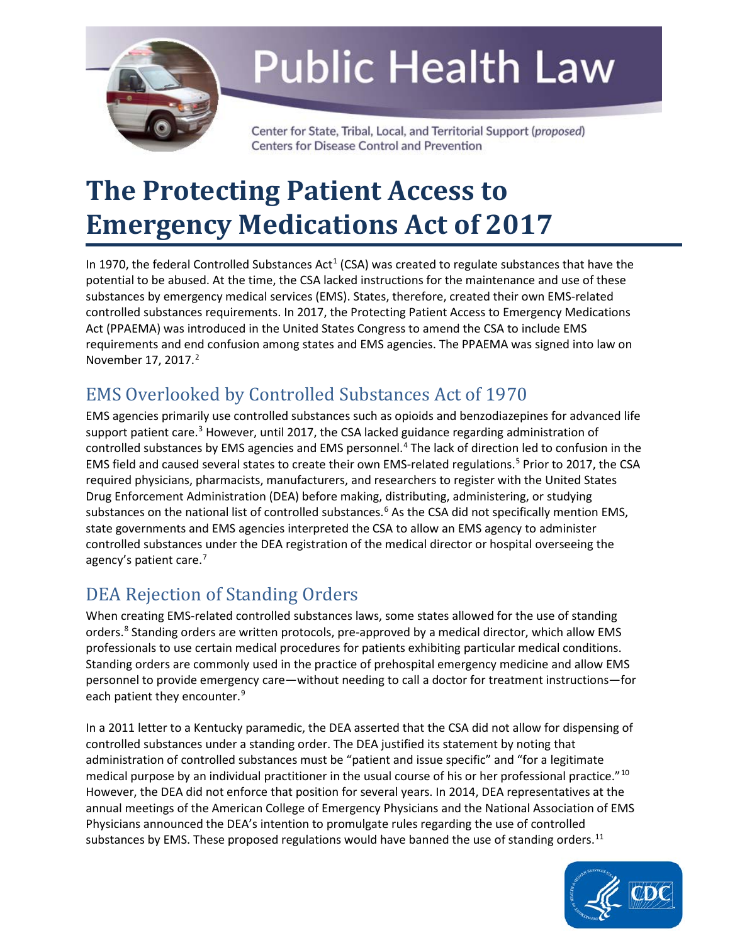

# **Public Health Law**

Center for State, Tribal, Local, and Territorial Support (proposed) **Centers for Disease Control and Prevention** 

## **The Protecting Patient Access to Emergency Medications Act of 2017**

In 1970, the federal Controlled Substances Act<sup>1</sup> (CSA) was created to regulate substances that have the potential to be abused. At the time, the CSA lacked instructions for the maintenance and use of these substances by emergency medical services (EMS). States, therefore, created their own EMS-related Act (PPAEMA) was introduced in the United States Congress to amend the CSA to include EMS requirements and end confusion among states and EMS agencies. The PPAEMA was signed into law on controlled substances requirements. In 2017, the Protecting Patient Access to Emergency Medications November 17, [2](#page-2-1)017.<sup>2</sup>

## EMS Overlooked by Controlled Substances Act of 1970

support patient care.<sup>[3](#page-2-2)</sup> However, until 2017, the CSA lacked guidance regarding administration of controlled substances by EMS agencies and EMS personnel.<sup>[4](#page-2-3)</sup> The lack of direction led to confusion in the EMS field and caused several states to create their own EMS-related regulations.<sup>[5](#page-2-4)</sup> Prior to 2017, the CSA state governments and EMS agencies interpreted the CSA to allow an EMS agency to administer EMS agencies primarily use controlled substances such as opioids and benzodiazepines for advanced life required physicians, pharmacists, manufacturers, and researchers to register with the United States Drug Enforcement Administration (DEA) before making, distributing, administering, or studying substances on the national list of controlled substances.<sup>6</sup> As the CSA did not specifically mention EMS, controlled substances under the DEA registration of the medical director or hospital overseeing the agency's patient care.<sup>7</sup>

## DEA Rejection of Standing Orders

 professionals to use certain medical procedures for patients exhibiting particular medical conditions. Standing orders are commonly used in the practice of prehospital emergency medicine and allow EMS each patient they encounter.<sup>9</sup> When creating EMS-related controlled substances laws, some states allowed for the use of standing orders.<sup>8</sup> Standing orders are written protocols, pre-approved by a medical director, which allow EMS personnel to provide emergency care—without needing to call a doctor for treatment instructions—for

 controlled substances under a standing order. The DEA justified its statement by noting that administration of controlled substances must be "patient and issue specific" and "for a legitimate medical purpose by an individual practitioner in the usual course of his or her professional practice."<sup>[10](#page-2-9)</sup> However, the DEA did not enforce that position for several years. In 2014, DEA representatives at the Physicians announced the DEA's intention to promulgate rules regarding the use of controlled In a 2011 letter to a Kentucky paramedic, the DEA asserted that the CSA did not allow for dispensing of annual meetings of the American College of Emergency Physicians and the National Association of EMS substances by EMS. These proposed regulations would have banned the use of standing orders.<sup>[11](#page-2-10)</sup>

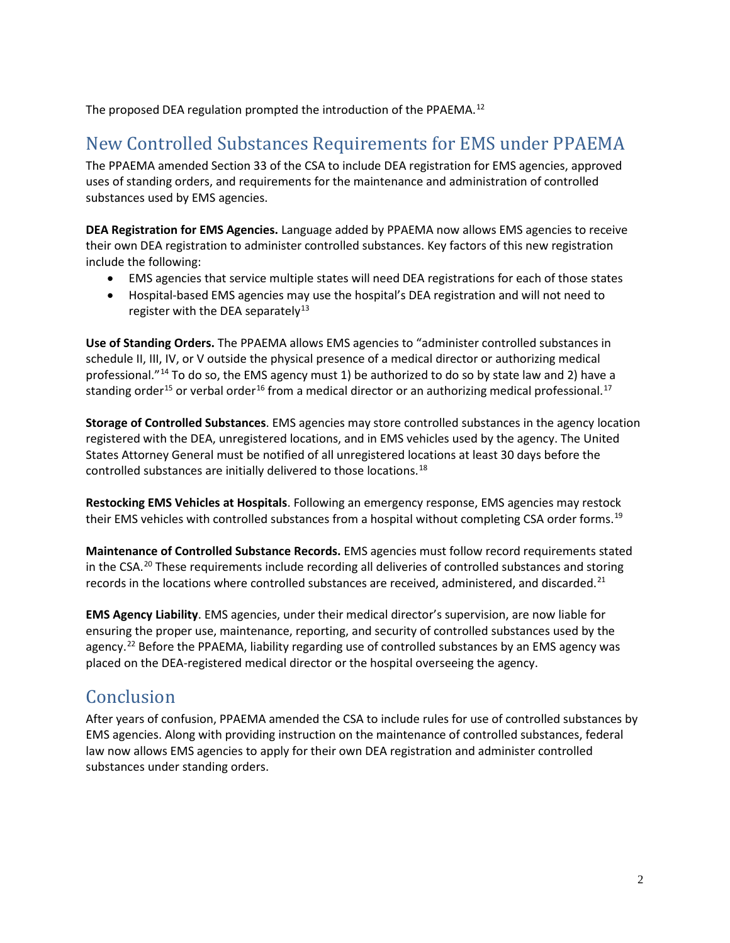The proposed DEA regulation prompted the introduction of the PPAEMA.<sup>12</sup>

### New Controlled Substances Requirements for EMS under PPAEMA

The PPAEMA amended Section 33 of the CSA to include DEA registration for EMS agencies, approved uses of standing orders, and requirements for the maintenance and administration of controlled substances used by EMS agencies.

 **DEA Registration for EMS Agencies.** Language added by PPAEMA now allows EMS agencies to receive their own DEA registration to administer controlled substances. Key factors of this new registration include the following:

- EMS agencies that service multiple states will need DEA registrations for each of those states
- • Hospital-based EMS agencies may use the hospital's DEA registration and will not need to register with the DEA separately<sup>13</sup>

professional."<sup>14</sup> To do so, the EMS agency must 1) be authorized to do so by state law and 2) have a standing order<sup>15</sup> or verbal order<sup>[16](#page-3-1)</sup> from a medical director or an authorizing medical professional.<sup>[17](#page-3-2)</sup> **Use of Standing Orders.** The PPAEMA allows EMS agencies to "administer controlled substances in schedule II, III, IV, or V outside the physical presence of a medical director or authorizing medical

 **Storage of Controlled Substances**. EMS agencies may store controlled substances in the agency location registered with the DEA, unregistered locations, and in EMS vehicles used by the agency. The United States Attorney General must be notified of all unregistered locations at least 30 days before the controlled substances are initially delivered to those locations.[18](#page-3-3) 

 **Restocking EMS Vehicles at Hospitals**. Following an emergency response, EMS agencies may restock their EMS vehicles with controlled substances from a hospital without completing CSA order forms.<sup>[19](#page-3-4)</sup>

 **Maintenance of Controlled Substance Records.** EMS agencies must follow record requirements stated records in the locations where controlled substances are received, administered, and discarded.<sup>[21](#page-3-6)</sup> in the CSA.<sup>20</sup> These requirements include recording all deliveries of controlled substances and storing

agency.<sup>22</sup> Before the PPAEMA, liability regarding use of controlled substances by an EMS agency was placed on the DEA-registered medical director or the hospital overseeing the agency. **EMS Agency Liability**. EMS agencies, under their medical director's supervision, are now liable for ensuring the proper use, maintenance, reporting, and security of controlled substances used by the

## Conclusion

 After years of confusion, PPAEMA amended the CSA to include rules for use of controlled substances by law now allows EMS agencies to apply for their own DEA registration and administer controlled EMS agencies. Along with providing instruction on the maintenance of controlled substances, federal substances under standing orders.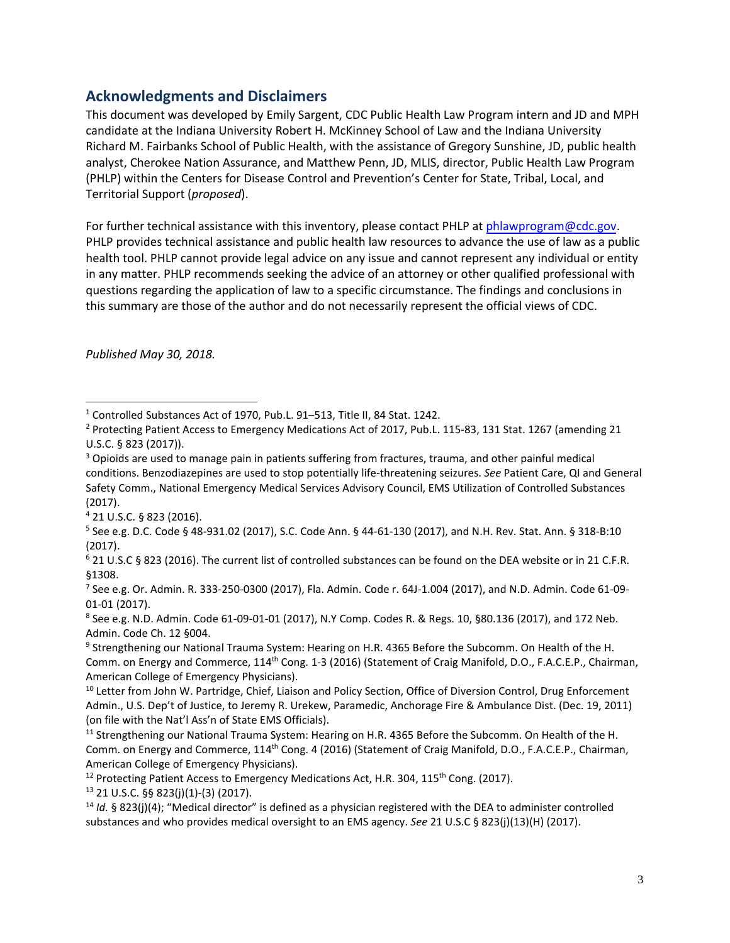#### **Acknowledgments and Disclaimers**

 This document was developed by Emily Sargent, CDC Public Health Law Program intern and JD and MPH analyst, Cherokee Nation Assurance, and Matthew Penn, JD, MLIS, director, Public Health Law Program Territorial Support (*proposed*). candidate at the Indiana University Robert H. McKinney School of Law and the Indiana University Richard M. Fairbanks School of Public Health, with the assistance of Gregory Sunshine, JD, public health (PHLP) within the Centers for Disease Control and Prevention's Center for State, Tribal, Local, and

For further technical assistance with this inventory, please contact PHLP a[t phlawprogram@cdc.gov.](mailto:phlawprogram@cdc.gov) PHLP provides technical assistance and public health law resources to advance the use of law as a public health tool. PHLP cannot provide legal advice on any issue and cannot represent any individual or entity in any matter. PHLP recommends seeking the advice of an attorney or other qualified professional with questions regarding the application of law to a specific circumstance. The findings and conclusions in this summary are those of the author and do not necessarily represent the official views of CDC.

*Published May 30, 2018.* 

-

<span id="page-2-3"></span>4 21 U.S.C. § 823 (2016).

<span id="page-2-8"></span>9 Strengthening our National Trauma System: Hearing on H.R. 4365 Before the Subcomm. On Health of the H. Comm. on Energy and Commerce, 114<sup>th</sup> Cong. 1-3 (2016) (Statement of Craig Manifold, D.O., F.A.C.E.P., Chairman, American College of Emergency Physicians).

<span id="page-2-12"></span> $13$  21 U.S.C. §§ 823(j)(1)-(3) (2017).

<span id="page-2-1"></span><span id="page-2-0"></span>U.S.C. § 823 (2017)). <sup>1</sup> Controlled Substances Act of 1970, Pub.L. 91–513, Title II, 84 Stat. 1242.<br><sup>2</sup> Protecting Patient Access to Emergency Medications Act of 2017, Pub.L. 115-83, 131 Stat. 1267 (amending 21

<span id="page-2-2"></span><sup>&</sup>lt;sup>3</sup> Opioids are used to manage pain in patients suffering from fractures, trauma, and other painful medical conditions. Benzodiazepines are used to stop potentially life-threatening seizures. *See* Patient Care, QI and General Safety Comm., National Emergency Medical Services Advisory Council, EMS Utilization of Controlled Substances (2017).

<span id="page-2-4"></span> $5$  See e.g. D.C. Code § 48-931.02 (2017), S.C. Code Ann. § 44-61-130 (2017), and N.H. Rev. Stat. Ann. § 318-B:10 (2017).

<span id="page-2-5"></span><sup>6 21</sup> U.S.C § 823 (2016). The current list of controlled substances can be found on the DEA website or in 21 C.F.R. §1308.

<span id="page-2-6"></span><sup>&</sup>lt;sup>7</sup> See e.g. Or. Admin. R. 333-250-0300 (2017), Fla. Admin. Code r. 64J-1.004 (2017), and N.D. Admin. Code 61-09-01-01 (2017).

<span id="page-2-7"></span> $8$  See e.g. N.D. Admin. Code 61-09-01-01 (2017), N.Y Comp. Codes R. & Regs. 10, §80.136 (2017), and 172 Neb. Admin. Code Ch. 12 §004.

<span id="page-2-9"></span><sup>&</sup>lt;sup>10</sup> Letter from John W. Partridge, Chief, Liaison and Policy Section, Office of Diversion Control, Drug Enforcement Admin., U.S. Dep't of Justice, to Jeremy R. Urekew, Paramedic, Anchorage Fire & Ambulance Dist. (Dec. 19, 2011) (on file with the Nat'l Ass'n of State EMS Officials).

<span id="page-2-10"></span><sup>&</sup>lt;sup>11</sup> Strengthening our National Trauma System: Hearing on H.R. 4365 Before the Subcomm. On Health of the H. Comm. on Energy and Commerce, 114<sup>th</sup> Cong. 4 (2016) (Statement of Craig Manifold, D.O., F.A.C.E.P., Chairman, American College of Emergency Physicians).

<span id="page-2-11"></span><sup>&</sup>lt;sup>12</sup> Protecting Patient Access to Emergency Medications Act, H.R. 304, 115<sup>th</sup> Cong. (2017).

<span id="page-2-13"></span> <sup>14</sup>*Id.* § 823(j)(4); "Medical director" is defined as a physician registered with the DEA to administer controlled substances and who provides medical oversight to an EMS agency. *See* 21 U.S.C § 823(j)(13)(H) (2017).